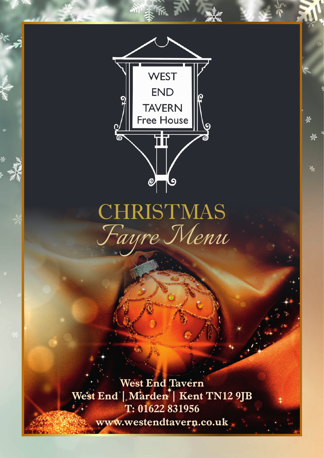

ų.

# CHRISTMAS<br>Fayre Menu

**West End Tavern** West End | Marden | Kent TN12 9JB T: 01622 831956 www.westendtavern.co.uk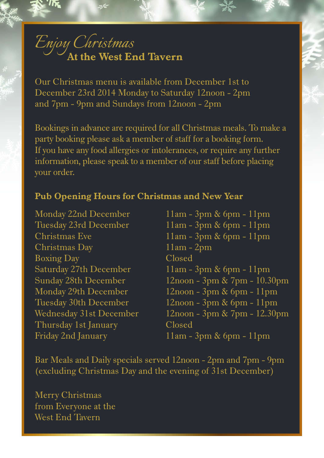## *Enjoy Christmas* **At the West End Tavern**

Our Christmas menu is available from December 1st to December 23rd 2014 Monday to Saturday 12noon - 2pm and 7pm - 9pm and Sundays from 12noon - 2pm

Bookings in advance are required for all Christmas meals. To make a party booking please ask a member of staff for a booking form. If you have any food allergies or intolerances, or require any further information, please speak to a member of our staff before placing your order.

#### **Pub Opening Hours for Christmas and New Year**

Monday 22nd December 11am - 3pm & 6pm - 11pm Christmas Day 11am - 2pm Boxing Day Closed Thursday 1st January Closed

Tuesday 23rd December 11am - 3pm & 6pm - 11pm Christmas Eve 11am - 3pm & 6pm - 11pm Saturday 27th December 11am - 3pm & 6pm - 11pm Sunday 28th December 12noon - 3pm & 7pm - 10.30pm Monday 29th December 12noon - 3pm & 6pm - 11pm Tuesday 30th December 12noon - 3pm & 6pm - 11pm Wednesday 31st December 12noon - 3pm & 7pm - 12.30pm Friday 2nd January 11am - 3pm & 6pm - 11pm

Bar Meals and Daily specials served 12noon - 2pm and 7pm - 9pm (excluding Christmas Day and the evening of 31st December)

Merry Christmas from Everyone at the West End Tavern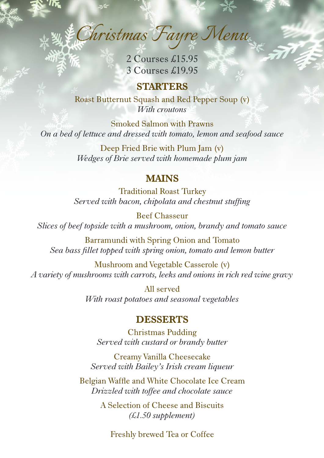*Christmas Fayre Menu*

2 Courses £15.95 3 Courses £19.95

**STARTERS** Roast Butternut Squash and Red Pepper Soup (v) *With croutons*

Smoked Salmon with Prawns *On a bed of lettuce and dressed with tomato, lemon and seafood sauce* 

> Deep Fried Brie with Plum Jam (v) *Wedges of Brie served with homemade plum jam*

#### **MAINS**

Traditional Roast Turkey *Served with bacon, chipolata and chestnut stuffing*

Beef Chasseur *Slices of beef topside with a mushroom, onion, brandy and tomato sauce*

Barramundi with Spring Onion and Tomato *Sea bass fillet topped with spring onion, tomato and lemon butter*

Mushroom and Vegetable Casserole (v) *A variety of mushrooms with carrots, leeks and onions in rich red wine gravy*

> All served *With roast potatoes and seasonal vegetables*

#### **DESSERTS**

Christmas Pudding *Served with custard or brandy butter* 

Creamy Vanilla Cheesecake *Served with Bailey's Irish cream liqueur* 

Belgian Waffle and White Chocolate Ice Cream *Drizzled with toffee and chocolate sauce*

> A Selection of Cheese and Biscuits *(£1.50 supplement)*

Freshly brewed Tea or Coffee